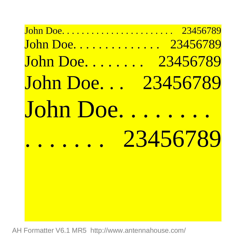## John Doe. . . . . . . . . . . . . . . . . . . . . . . 23456789 John Doe. . . . . . . . . . . . . . 23456789 John Doe. . . . . . . . 23456789 John Doe. . . 23456789 John Doe... 23456789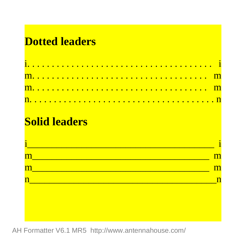## **Dotted leaders**

## **Solid leaders**

| '' |  |
|----|--|
|    |  |
|    |  |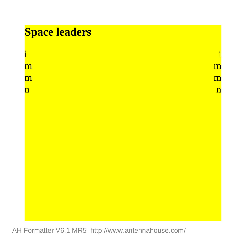## **Space leaders**

| i                     | ٠                     |
|-----------------------|-----------------------|
| $\overline{\text{m}}$ | $\overline{\text{m}}$ |
| $\overline{\text{m}}$ | $\overline{\text{m}}$ |
| 'n                    | n                     |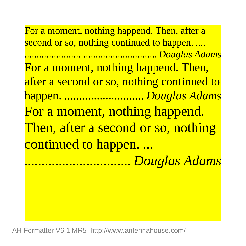For a moment, nothing happend. Then, after a second or so, nothing continued to happen. *.... ...................................................... Douglas Adams* For a moment, nothing happend. Then, after a second or so, nothing continued to happen. *........................... Douglas Adams* For a moment, nothing happend. Then, after a second or so, nothing continued to happen. *...*

*............................... Douglas Adams*